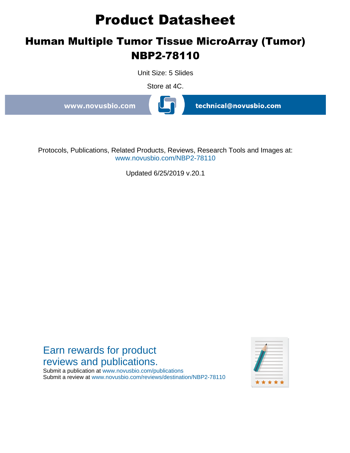# **Product Datasheet**

## **Human Multiple Tumor Tissue MicroArray (Tumor) NBP2-78110**

Unit Size: 5 Slides

Store at 4C.

www.novusbio.com

technical@novusbio.com

Protocols, Publications, Related Products, Reviews, Research Tools and Images at: www.novusbio.com/NBP2-78110

Updated 6/25/2019 v.20.1

### Earn rewards for product reviews and publications.

Submit a publication at www.novusbio.com/publications Submit a review at www.novusbio.com/reviews/destination/NBP2-78110

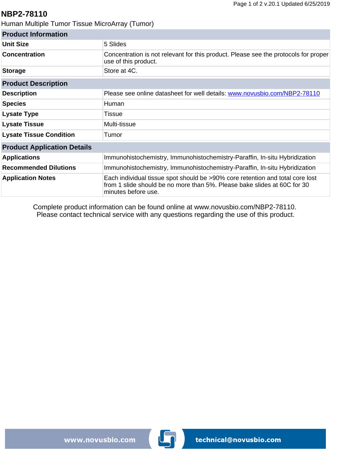#### **NBP2-78110**

Human Multiple Tumor Tissue MicroArray (Tumor)

| <b>Product Information</b>         |                                                                                                                                                                                  |
|------------------------------------|----------------------------------------------------------------------------------------------------------------------------------------------------------------------------------|
| Unit Size                          | 5 Slides                                                                                                                                                                         |
| <b>Concentration</b>               | Concentration is not relevant for this product. Please see the protocols for proper<br>use of this product.                                                                      |
| <b>Storage</b>                     | Store at 4C.                                                                                                                                                                     |
| <b>Product Description</b>         |                                                                                                                                                                                  |
| <b>Description</b>                 | Please see online datasheet for well details: www.novusbio.com/NBP2-78110                                                                                                        |
| <b>Species</b>                     | Human                                                                                                                                                                            |
| <b>Lysate Type</b>                 | Tissue                                                                                                                                                                           |
| <b>Lysate Tissue</b>               | Multi-tissue                                                                                                                                                                     |
| <b>Lysate Tissue Condition</b>     | Tumor                                                                                                                                                                            |
| <b>Product Application Details</b> |                                                                                                                                                                                  |
| <b>Applications</b>                | Immunohistochemistry, Immunohistochemistry-Paraffin, In-situ Hybridization                                                                                                       |
| <b>Recommended Dilutions</b>       | Immunohistochemistry, Immunohistochemistry-Paraffin, In-situ Hybridization                                                                                                       |
| <b>Application Notes</b>           | Each individual tissue spot should be >90% core retention and total core lost<br>from 1 slide should be no more than 5%. Please bake slides at 60C for 30<br>minutes before use. |

Complete product information can be found online at [www.novusbio.com/NBP2-78110](http://www.novusbio.com/NBP2-78110). Please contact technical service with any questions regarding the use of this product.